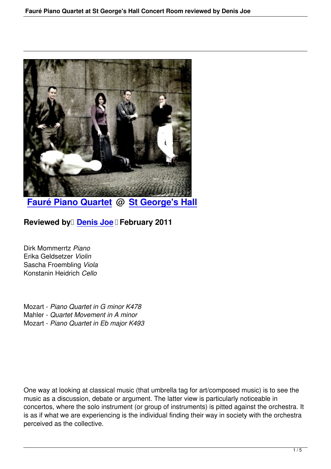

**Fauré Piano Quartet @ St George's Hall**

**[Reviewed by](faure-piano-quartet-st-georges-hall.html) Denis Joe Fe[bruary 2011](http://www.stgeorgesliverpool.co.uk/)** 

Dirk Mommerrtz *[Piano](speakers.html#denis-joe)* Erika Geldsetzer *Violin* Sascha Froembling *Viola* Konstanin Heidrich *Cello*

Mozart - *Piano Quartet in G minor K478* Mahler - *Quartet Movement in A minor* Mozart - *Piano Quartet in Eb major K493*

One way at looking at classical music (that umbrella tag for art/composed music) is to see the music as a discussion, debate or argument. The latter view is particularly noticeable in concertos, where the solo instrument (or group of instruments) is pitted against the orchestra. It is as if what we are experiencing is the individual finding their way in society with the orchestra perceived as the collective.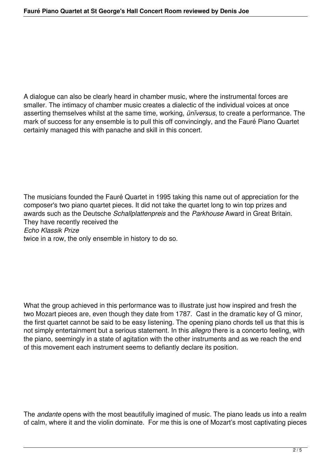A dialogue can also be clearly heard in chamber music, where the instrumental forces are smaller. The intimacy of chamber music creates a dialectic of the individual voices at once asserting themselves whilst at the same time, working, *ūnĭversus*, to create a performance. The mark of success for any ensemble is to pull this off convincingly, and the Fauré Piano Quartet certainly managed this with panache and skill in this concert.

The musicians founded the Fauré Quartet in 1995 taking this name out of appreciation for the composer's two piano quartet pieces. It did not take the quartet long to win top prizes and awards such as the Deutsche *Schallplattenpreis* and the *Parkhouse* Award in Great Britain. They have recently received the *Echo Klassik Prize* twice in a row, the only ensemble in history to do so.

What the group achieved in this performance was to illustrate just how inspired and fresh the two Mozart pieces are, even though they date from 1787. Cast in the dramatic key of G minor, the first quartet cannot be said to be easy listening. The opening piano chords tell us that this is not simply entertainment but a serious statement. In this *allegro* there is a concerto feeling, with the piano, seemingly in a state of agitation with the other instruments and as we reach the end of this movement each instrument seems to defiantly declare its position.

The *andante* opens with the most beautifully imagined of music. The piano leads us into a realm of calm, where it and the violin dominate. For me this is one of Mozart's most captivating pieces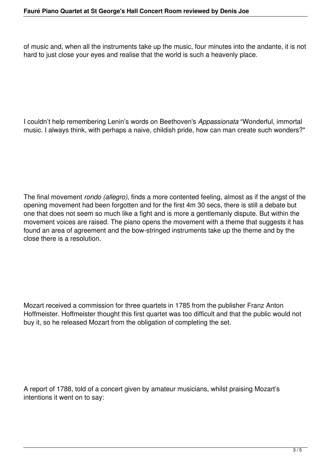of music and, when all the instruments take up the music, four minutes into the andante, it is not hard to just close your eyes and realise that the world is such a heavenly place.

I couldn't help remembering Lenin's words on Beethoven's *Appassionata* "Wonderful, immortal music. I always think, with perhaps a naive, childish pride, how can man create such wonders?"

The final movement *rondo (allegro)*, finds a more contented feeling, almost as if the angst of the opening movement had been forgotten and for the first 4m 30 secs, there is still a debate but one that does not seem so much like a fight and is more a gentlemanly dispute. But within the movement voices are raised. The piano opens the movement with a theme that suggests it has found an area of agreement and the bow-stringed instruments take up the theme and by the close there is a resolution.

Mozart received a commission for three quartets in 1785 from the publisher Franz Anton Hoffmeister. Hoffmeister thought this first quartet was too difficult and that the public would not buy it, so he released Mozart from the obligation of completing the set.

A report of 1788, told of a concert given by amateur musicians, whilst praising Mozart's intentions it went on to say: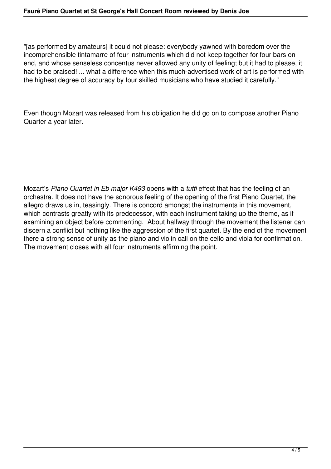"[as performed by amateurs] it could not please: everybody yawned with boredom over the incomprehensible tintamarre of four instruments which did not keep together for four bars on end, and whose senseless concentus never allowed any unity of feeling; but it had to please, it had to be praised! ... what a difference when this much-advertised work of art is performed with the highest degree of accuracy by four skilled musicians who have studied it carefully."

Even though Mozart was released from his obligation he did go on to compose another Piano Quarter a year later.

Mozart's *Piano Quartet in Eb major K493* opens with a *tutti* effect that has the feeling of an orchestra. It does not have the sonorous feeling of the opening of the first Piano Quartet, the allegro draws us in, teasingly. There is concord amongst the instruments in this movement, which contrasts greatly with its predecessor, with each instrument taking up the theme, as if examining an object before commenting. About halfway through the movement the listener can discern a conflict but nothing like the aggression of the first quartet. By the end of the movement there a strong sense of unity as the piano and violin call on the cello and viola for confirmation. The movement closes with all four instruments affirming the point.